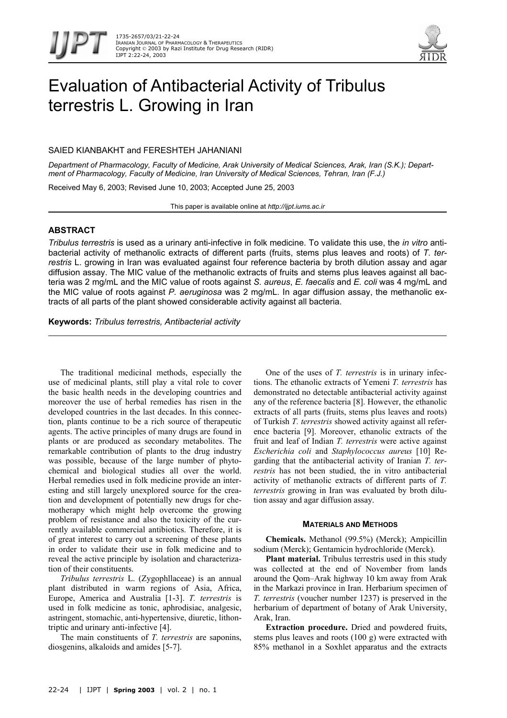

# Evaluation of Antibacterial Activity of Tribulus terrestris L. Growing in Iran

# SAIED KIANBAKHT and FERESHTEH JAHANIANI

*Department of Pharmacology, Faculty of Medicine, Arak University of Medical Sciences, Arak, Iran (S.K.); Department of Pharmacology, Faculty of Medicine, Iran University of Medical Sciences, Tehran, Iran (F.J.)* 

Received May 6, 2003; Revised June 10, 2003; Accepted June 25, 2003

This paper is available online at *http://ijpt.iums.ac.ir*

# **ABSTRACT**

*Tribulus terrestris* is used as a urinary anti-infective in folk medicine. To validate this use, the *in vitro* antibacterial activity of methanolic extracts of different parts (fruits, stems plus leaves and roots) of *T. terrestris* L. growing in Iran was evaluated against four reference bacteria by broth dilution assay and agar diffusion assay. The MIC value of the methanolic extracts of fruits and stems plus leaves against all bacteria was 2 mg/mL and the MIC value of roots against *S. aureus*, *E. faecalis* and *E. coli* was 4 mg/mL and the MIC value of roots against *P. aeruginosa* was 2 mg/mL. In agar diffusion assay, the methanolic extracts of all parts of the plant showed considerable activity against all bacteria.

**Keywords:** *Tribulus terrestris, Antibacterial activity*

The traditional medicinal methods, especially the use of medicinal plants, still play a vital role to cover the basic health needs in the developing countries and moreover the use of herbal remedies has risen in the developed countries in the last decades. In this connection, plants continue to be a rich source of therapeutic agents. The active principles of many drugs are found in plants or are produced as secondary metabolites. The remarkable contribution of plants to the drug industry was possible, because of the large number of phytochemical and biological studies all over the world. Herbal remedies used in folk medicine provide an interesting and still largely unexplored source for the creation and development of potentially new drugs for chemotherapy which might help overcome the growing problem of resistance and also the toxicity of the currently available commercial antibiotics. Therefore, it is of great interest to carry out a screening of these plants in order to validate their use in folk medicine and to reveal the active principle by isolation and characterization of their constituents.

*Tribulus terrestris* L. (Zygophllaceae) is an annual plant distributed in warm regions of Asia, Africa, Europe, America and Australia [1-3]. *T. terrestris* is used in folk medicine as tonic, aphrodisiac, analgesic, astringent, stomachic, anti-hypertensive, diuretic, lithontriptic and urinary anti-infective [4].

The main constituents of *T. terrestris* are saponins, diosgenins, alkaloids and amides [5-7].

One of the uses of *T. terrestris* is in urinary infections. The ethanolic extracts of Yemeni *T. terrestris* has demonstrated no detectable antibacterial activity against any of the reference bacteria [8]. However, the ethanolic extracts of all parts (fruits, stems plus leaves and roots) of Turkish *T. terrestris* showed activity against all reference bacteria [9]. Moreover, ethanolic extracts of the fruit and leaf of Indian *T. terrestris* were active against *Escherichia coli* and *Staphylococcus aureus* [10] Regarding that the antibacterial activity of Iranian *T. terrestris* has not been studied, the in vitro antibacterial activity of methanolic extracts of different parts of *T. terrestris* growing in Iran was evaluated by broth dilution assay and agar diffusion assay.

### **MATERIALS AND METHODS**

**Chemicals.** Methanol (99.5%) (Merck); Ampicillin sodium (Merck); Gentamicin hydrochloride (Merck).

**Plant material.** Tribulus terrestris used in this study was collected at the end of November from lands around the Qom–Arak highway 10 km away from Arak in the Markazi province in Iran. Herbarium specimen of *T. terrestris* (voucher number 1237) is preserved in the herbarium of department of botany of Arak University, Arak, Iran.

**Extraction procedure.** Dried and powdered fruits, stems plus leaves and roots (100 g) were extracted with 85% methanol in a Soxhlet apparatus and the extracts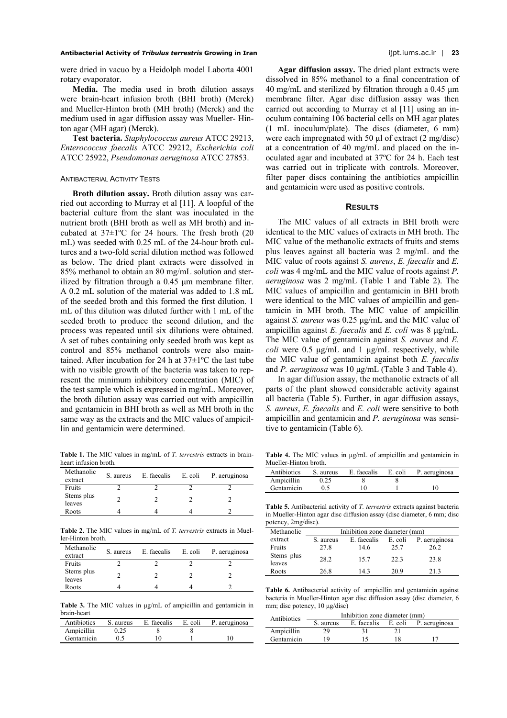### **Antibacterial Activity of** *Tribulus terrestris* **Growing in Iran** ijpt.iums.ac.ir | **23**

were dried in vacuo by a Heidolph model Laborta 4001 rotary evaporator.

**Media.** The media used in broth dilution assays were brain-heart infusion broth (BHI broth) (Merck) and Mueller-Hinton broth (MH broth) (Merck) and the medium used in agar diffusion assay was Mueller- Hinton agar (MH agar) (Merck).

**Test bacteria.** *Staphylococcus aureus* ATCC 29213, *Enterococcus faecalis* ATCC 29212, *Escherichia coli* ATCC 25922, *Pseudomonas aeruginosa* ATCC 27853.

#### ANTIBACTERIAL ACTIVITY TESTS

**Broth dilution assay.** Broth dilution assay was carried out according to Murray et al [11]. A loopful of the bacterial culture from the slant was inoculated in the nutrient broth (BHI broth as well as MH broth) and incubated at 37±1ºC for 24 hours. The fresh broth (20 mL) was seeded with 0.25 mL of the 24-hour broth cultures and a two-fold serial dilution method was followed as below. The dried plant extracts were dissolved in 85% methanol to obtain an 80 mg/mL solution and sterilized by filtration through a 0.45 µm membrane filter. A 0.2 mL solution of the material was added to 1.8 mL of the seeded broth and this formed the first dilution. 1 mL of this dilution was diluted further with 1 mL of the seeded broth to produce the second dilution, and the process was repeated until six dilutions were obtained. A set of tubes containing only seeded broth was kept as control and 85% methanol controls were also maintained. After incubation for 24 h at  $37\pm1\textdegree C$  the last tube with no visible growth of the bacteria was taken to represent the minimum inhibitory concentration (MIC) of the test sample which is expressed in mg/mL. Moreover, the broth dilution assay was carried out with ampicillin and gentamicin in BHI broth as well as MH broth in the same way as the extracts and the MIC values of ampicillin and gentamicin were determined.

<span id="page-1-0"></span>**Table 1.** The MIC values in mg/mL of *T. terrestris* extracts in brainheart infusion broth.

| Methanolic<br>extract | S. aureus | E. faecalis | E. coli | P. aeruginosa |
|-----------------------|-----------|-------------|---------|---------------|
| Fruits                |           |             |         |               |
| Stems plus<br>leaves  |           |             |         |               |
| Roots                 |           |             |         |               |

<span id="page-1-1"></span>**Table 2.** The MIC values in mg/mL of *T. terrestris* extracts in Mueller-Hinton broth.

| Methanolic<br>extract | S. aureus | E. faecalis | E. coli | P. aeruginosa |
|-----------------------|-----------|-------------|---------|---------------|
| Fruits                |           |             |         |               |
| Stems plus<br>leaves  |           |             |         |               |
| Roots                 |           |             |         |               |

<span id="page-1-2"></span>**Table 3.** The MIC values in µg/mL of ampicillin and gentamicin in brain-heart

| Antibiotics | S. aureus | E. faecalis | E. coli | P. aeruginosa |
|-------------|-----------|-------------|---------|---------------|
| Ampicillin  | 0.25      |             |         |               |
| Gentamicin  | 0.5       | 10          |         |               |

**Agar diffusion assay.** The dried plant extracts were dissolved in 85% methanol to a final concentration of 40 mg/mL and sterilized by filtration through a 0.45 µm membrane filter. Agar disc diffusion assay was then carried out according to Murray et al [11] using an inoculum containing 106 bacterial cells on MH agar plates (1 mL inoculum/plate). The discs (diameter, 6 mm) were each impregnated with 50  $\mu$ l of extract (2 mg/disc) at a concentration of 40 mg/mL and placed on the inoculated agar and incubated at 37ºC for 24 h. Each test was carried out in triplicate with controls. Moreover, filter paper discs containing the antibiotics ampicillin and gentamicin were used as positive controls.

## **RESULTS**

The MIC values of all extracts in BHI broth were identical to the MIC values of extracts in MH broth. The MIC value of the methanolic extracts of fruits and stems plus leaves against all bacteria was 2 mg/mL and the MIC value of roots against *S. aureus*, *E. faecalis* and *E. coli* was 4 mg/mL and the MIC value of roots against *P. aeruginosa* was 2 mg/mL ([Table 1](#page-1-0) and [Table 2\)](#page-1-1). The MIC values of ampicillin and gentamicin in BHI broth were identical to the MIC values of ampicillin and gentamicin in MH broth. The MIC value of ampicillin against *S. aureus* was 0.25 µg/mL and the MIC value of ampicillin against *E. faecalis* and *E. coli* was 8 µg/mL. The MIC value of gentamicin against *S. aureus* and *E. coli* were 0.5 µg/mL and 1 µg/mL respectively, while the MIC value of gentamicin against both *E. faecalis* and *P. aeruginosa* was 10 µg/mL ([Table 3](#page-1-2) and [Table 4\)](#page-1-3).

In agar diffusion assay, the methanolic extracts of all parts of the plant showed considerable activity against all bacteria ([Table 5\)](#page-1-4). Further, in agar diffusion assays, *S. aureus*, *E. faecalis* and *E. coli* were sensitive to both ampicillin and gentamicin and *P. aeruginosa* was sensitive to gentamicin ([Table 6\)](#page-1-5).

<span id="page-1-3"></span>**Table 4.** The MIC values in µg/mL of ampicillin and gentamicin in Mueller-Hinton broth.

| Antibiotics | S. aureus | E. faecalis | E. coli | P. aeruginosa |
|-------------|-----------|-------------|---------|---------------|
| Ampicillin  | 0.25      |             |         |               |
| Gentamicin  | 0.5       | 10          |         |               |

<span id="page-1-4"></span>**Table 5.** Antibacterial activity of *T. terrestris* extracts against bacteria in Mueller-Hinton agar disc diffusion assay (disc diameter, 6 mm; disc potency, 2mg/disc).

| Methanolic           | Inhibition zone diameter (mm) |             |         |               |
|----------------------|-------------------------------|-------------|---------|---------------|
| extract              | S. aureus                     | E. faecalis | E. coli | P. aeruginosa |
| Fruits               | 27.8                          | 14.6        | 25.7    | 26.2          |
| Stems plus<br>leaves | 28.2                          | 15.7        | 223     | 23.8          |
| Roots                | 26.8                          | 14 3        | 20.9    | 213           |

<span id="page-1-5"></span>**Table 6.** Antibacterial activity of ampicillin and gentamicin against bacteria in Mueller-Hinton agar disc diffusion assay (disc diameter, 6 mm; disc potency, 10 µg/disc)

| Antibiotics | Inhibition zone diameter (mm) |             |         |               |
|-------------|-------------------------------|-------------|---------|---------------|
|             | S. aureus                     | E. faecalis | E. coli | P. aeruginosa |
| Ampicillin  | 29                            |             |         |               |
| Gentamicin  | 19                            |             |         |               |